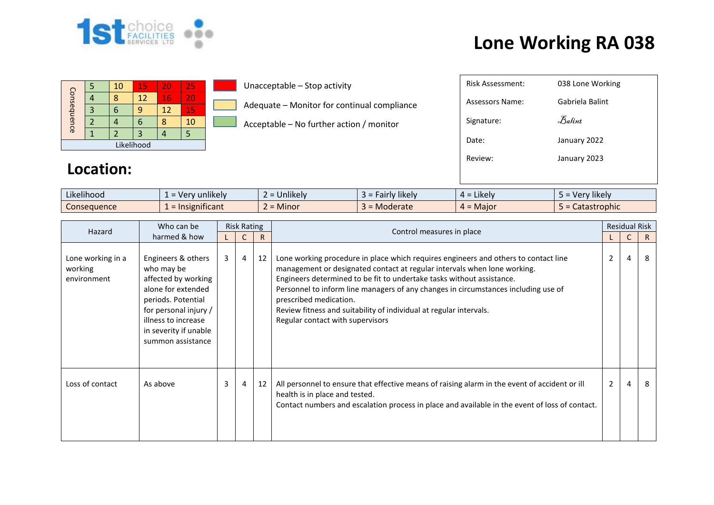

## **Lone Working RA 038**

| Consequence |  | 10 | 15 | 20 | 25 |  |  |
|-------------|--|----|----|----|----|--|--|
|             |  |    | 12 | 16 | 20 |  |  |
|             |  |    |    | 12 | 15 |  |  |
|             |  |    | ۰  |    | 10 |  |  |
|             |  |    |    |    |    |  |  |
| Likelihood  |  |    |    |    |    |  |  |

Unacceptable – Stop activity

Adequate – Monitor for continual compliance

Acceptable – No further action / monitor

| Risk Assessment: | 038 Lone Working               |
|------------------|--------------------------------|
| Assessors Name:  | Gabriela Balint                |
| Signature:       | $\mathcal{F}_{\mathit{abint}}$ |
| Date:            | January 2022                   |
| Review:          | January 2023                   |
|                  |                                |

## **Location:**

| $\cdots$<br>$\cdots$<br>Likelihood | unlikely<br>. Ver               | $\cdots$<br>Unlikely<br>- | $\cdots$<br><b>Hairly likely</b> | $\cdot$ .<br>Likely<br>$\Delta =$            | $\cdots$<br>'v likelv<br>- Verr |
|------------------------------------|---------------------------------|---------------------------|----------------------------------|----------------------------------------------|---------------------------------|
| Consequence                        | .<br>Insignificant<br>$=$ 11518 | Minor<br>-                | Moderate                         | . Maior<br>$\overline{\phantom{a}}$<br>$4 =$ | <b>Stastrophic</b><br>calası    |

| Who can be<br>Hazard                        | <b>Risk Rating</b>                                                                                                                                                                                |   |                |              |                                                                                                                                                                                                                                                                                                                                                                                                                                                                    |                | <b>Residual Risk</b> |    |
|---------------------------------------------|---------------------------------------------------------------------------------------------------------------------------------------------------------------------------------------------------|---|----------------|--------------|--------------------------------------------------------------------------------------------------------------------------------------------------------------------------------------------------------------------------------------------------------------------------------------------------------------------------------------------------------------------------------------------------------------------------------------------------------------------|----------------|----------------------|----|
| harmed & how                                |                                                                                                                                                                                                   |   |                | $\mathsf{R}$ | Control measures in place                                                                                                                                                                                                                                                                                                                                                                                                                                          |                |                      | R. |
| Lone working in a<br>working<br>environment | Engineers & others<br>who may be<br>affected by working<br>alone for extended<br>periods. Potential<br>for personal injury /<br>illness to increase<br>in severity if unable<br>summon assistance | 3 | $\overline{4}$ | 12           | Lone working procedure in place which requires engineers and others to contact line<br>management or designated contact at regular intervals when lone working.<br>Engineers determined to be fit to undertake tasks without assistance.<br>Personnel to inform line managers of any changes in circumstances including use of<br>prescribed medication.<br>Review fitness and suitability of individual at regular intervals.<br>Regular contact with supervisors | $\overline{2}$ | $\overline{4}$       | 8  |
| Loss of contact                             | As above                                                                                                                                                                                          | 3 | 4              | 12           | All personnel to ensure that effective means of raising alarm in the event of accident or ill<br>health is in place and tested.<br>Contact numbers and escalation process in place and available in the event of loss of contact.                                                                                                                                                                                                                                  | 2              | $\overline{4}$       | 8  |